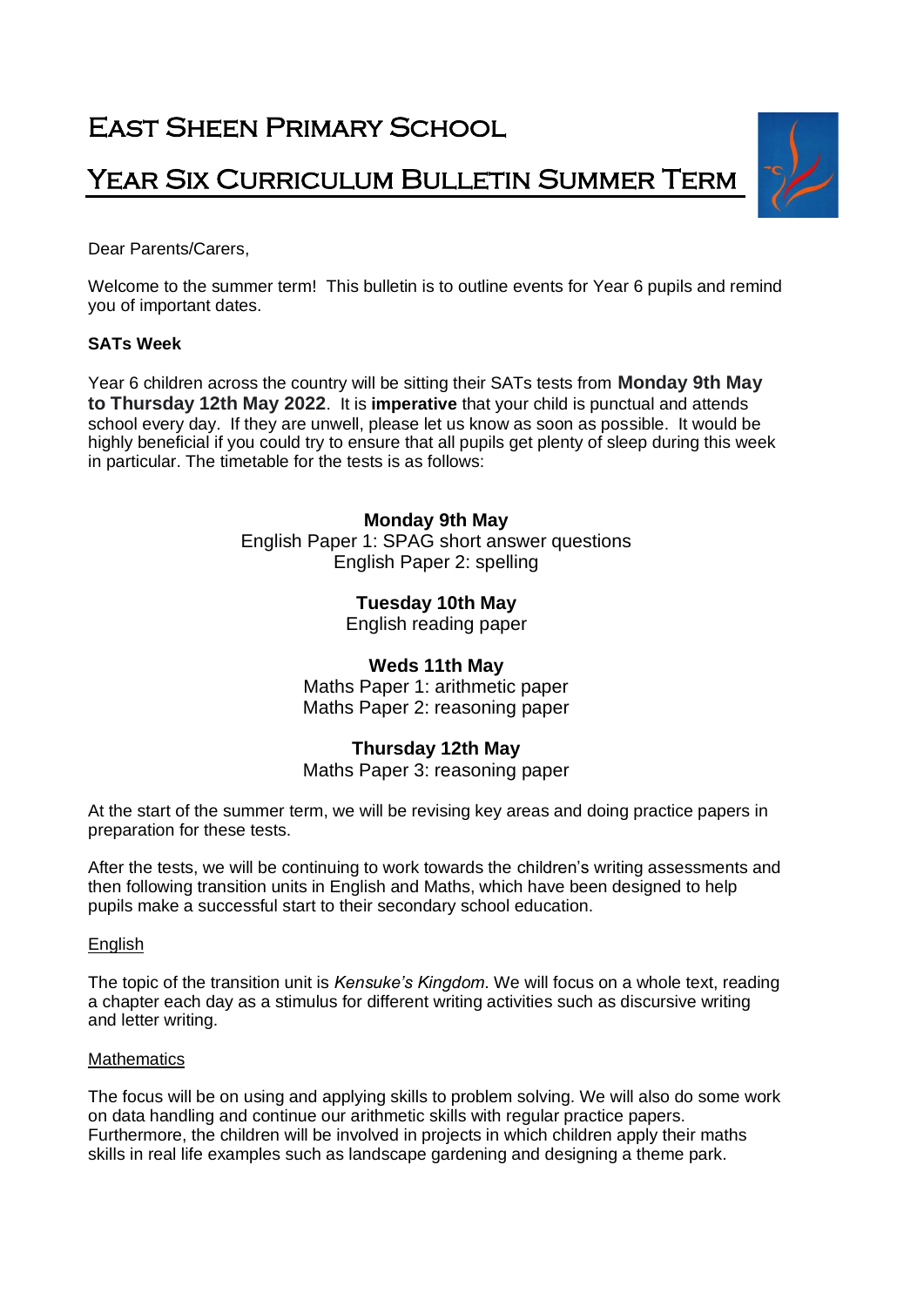# East Sheen Primary School

## YEAR SIX CURRICULUM BULLETIN SUMMER TERM

Dear Parents/Carers,

Welcome to the summer term! This bulletin is to outline events for Year 6 pupils and remind you of important dates.

## **SATs Week**

Year 6 children across the country will be sitting their SATs tests from **Monday 9th May to Thursday 12th May 2022**. It is **imperative** that your child is punctual and attends school every day. If they are unwell, please let us know as soon as possible. It would be highly beneficial if you could try to ensure that all pupils get plenty of sleep during this week in particular. The timetable for the tests is as follows:

## **Monday 9th May**

English Paper 1: SPAG short answer questions English Paper 2: spelling

## **Tuesday 10th May**

English reading paper

## **Weds 11th May**

Maths Paper 1: arithmetic paper Maths Paper 2: reasoning paper

## **Thursday 12th May**

Maths Paper 3: reasoning paper

At the start of the summer term, we will be revising key areas and doing practice papers in preparation for these tests.

After the tests, we will be continuing to work towards the children's writing assessments and then following transition units in English and Maths, which have been designed to help pupils make a successful start to their secondary school education.

#### **English**

The topic of the transition unit is *Kensuke's Kingdom*. We will focus on a whole text, reading a chapter each day as a stimulus for different writing activities such as discursive writing and letter writing.

#### **Mathematics**

The focus will be on using and applying skills to problem solving. We will also do some work on data handling and continue our arithmetic skills with regular practice papers. Furthermore, the children will be involved in projects in which children apply their maths skills in real life examples such as landscape gardening and designing a theme park.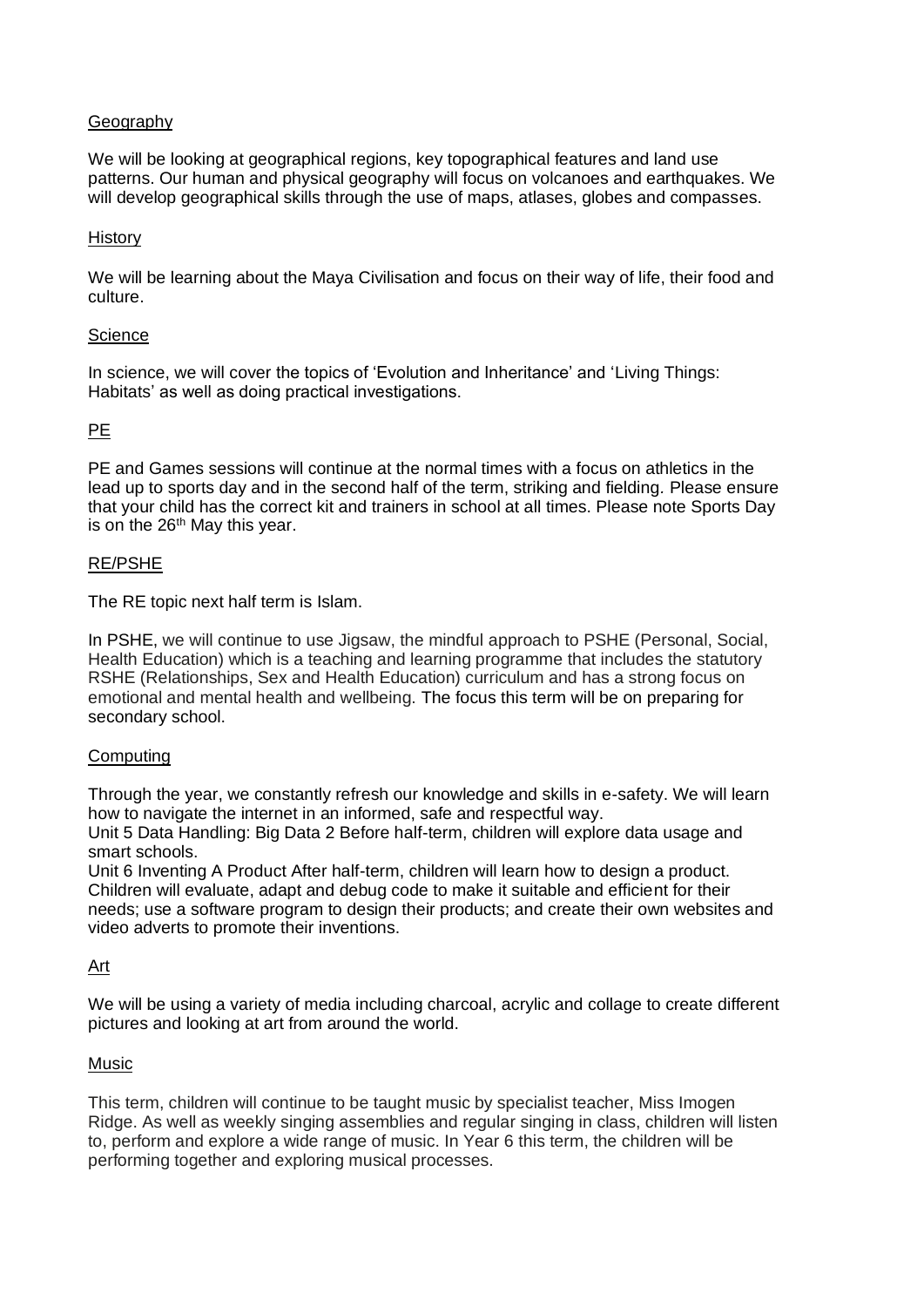## Geography

We will be looking at geographical regions, key topographical features and land use patterns. Our human and physical geography will focus on volcanoes and earthquakes. We will develop geographical skills through the use of maps, atlases, globes and compasses.

#### **History**

We will be learning about the Maya Civilisation and focus on their way of life, their food and culture.

#### **Science**

In science, we will cover the topics of 'Evolution and Inheritance' and 'Living Things: Habitats' as well as doing practical investigations.

#### PE

PE and Games sessions will continue at the normal times with a focus on athletics in the lead up to sports day and in the second half of the term, striking and fielding*.* Please ensure that your child has the correct kit and trainers in school at all times. Please note Sports Day is on the 26<sup>th</sup> May this year.

#### RE/PSHE

The RE topic next half term is Islam.

In PSHE, we will continue to use Jigsaw, the mindful approach to PSHE (Personal, Social, Health Education) which is a teaching and learning programme that includes the statutory RSHE (Relationships, Sex and Health Education) curriculum and has a strong focus on emotional and mental health and wellbeing. The focus this term will be on preparing for secondary school.

#### Computing

Through the year, we constantly refresh our knowledge and skills in e-safety. We will learn how to navigate the internet in an informed, safe and respectful way. Unit 5 Data Handling: Big Data 2 Before half-term, children will explore data usage and

smart schools. Unit 6 Inventing A Product After half-term, children will learn how to design a product. Children will evaluate, adapt and debug code to make it suitable and efficient for their needs; use a software program to design their products; and create their own websites and video adverts to promote their inventions.

#### Art

We will be using a variety of media including charcoal, acrylic and collage to create different pictures and looking at art from around the world.

#### Music

This term, children will continue to be taught music by specialist teacher, Miss Imogen Ridge. As well as weekly singing assemblies and regular singing in class, children will listen to, perform and explore a wide range of music. In Year 6 this term, the children will be performing together and exploring musical processes.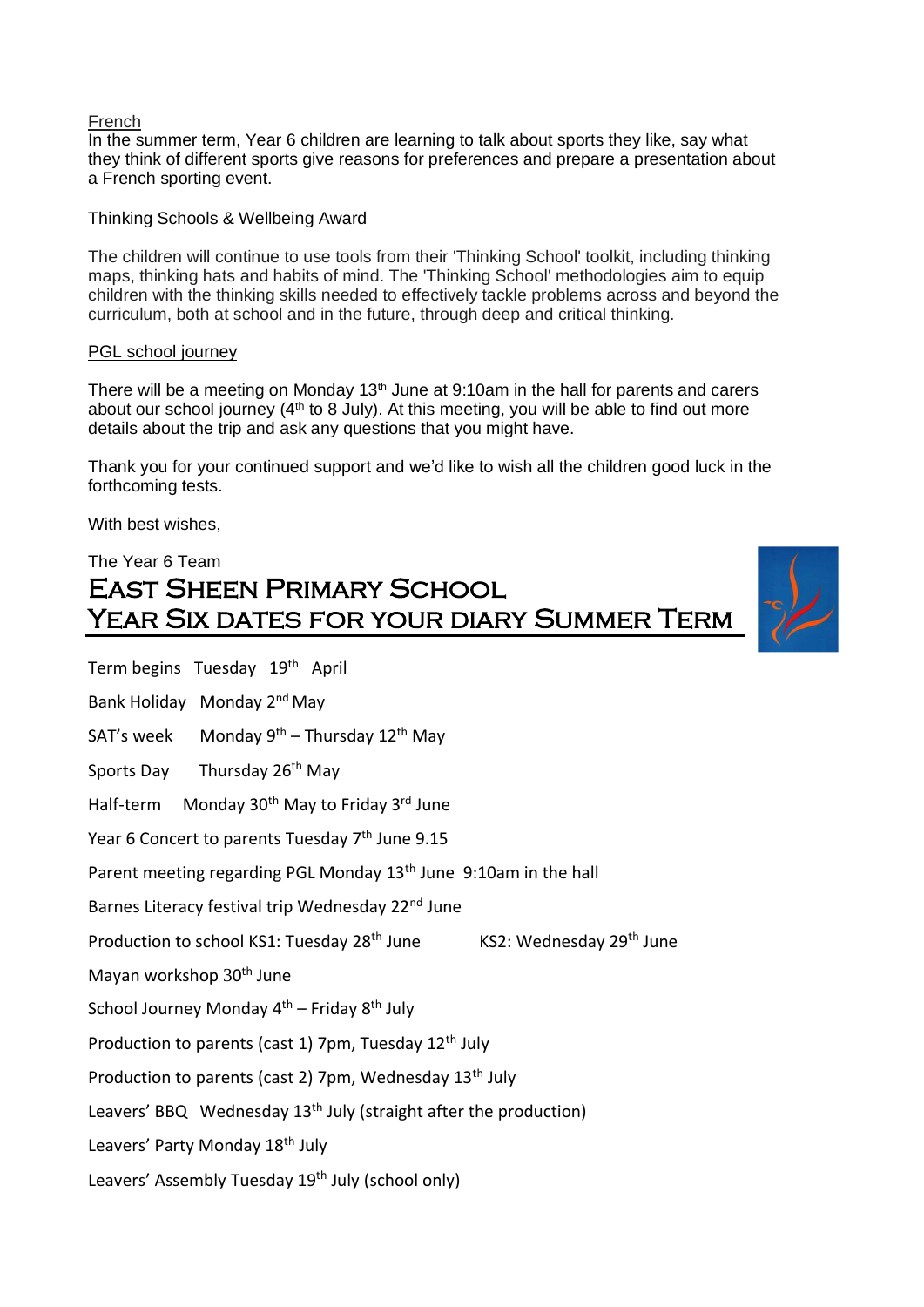#### French

In the summer term, Year 6 children are learning to talk about sports they like, say what they think of different sports give reasons for preferences and prepare a presentation about a French sporting event.

#### Thinking Schools & Wellbeing Award

The children will continue to use tools from their 'Thinking School' toolkit, including thinking maps, thinking hats and habits of mind. The 'Thinking School' methodologies aim to equip children with the thinking skills needed to effectively tackle problems across and beyond the curriculum, both at school and in the future, through deep and critical thinking.

#### PGL school journey

There will be a meeting on Monday  $13<sup>th</sup>$  June at 9:10am in the hall for parents and carers about our school journey  $(4<sup>th</sup>$  to 8 July). At this meeting, you will be able to find out more details about the trip and ask any questions that you might have.

Thank you for your continued support and we'd like to wish all the children good luck in the forthcoming tests.

With best wishes,

Term begins Tuesday 19<sup>th</sup> April

## The Year 6 Team East Sheen Primary School Year Six dates for your diary Summer Term



Bank Holiday Monday 2nd May SAT's week Monday  $9<sup>th</sup>$  – Thursday 12<sup>th</sup> May Sports Day Thursday 26<sup>th</sup> May Half-term Monday 30<sup>th</sup> May to Friday 3<sup>rd</sup> June Year 6 Concert to parents Tuesday 7<sup>th</sup> June 9.15 Parent meeting regarding PGL Monday 13<sup>th</sup> June 9:10am in the hall Barnes Literacy festival trip Wednesday 22<sup>nd</sup> June Production to school KS1: Tuesday 28<sup>th</sup> June KS2: Wednesday 29<sup>th</sup> June Mayan workshop 30<sup>th</sup> June School Journey Monday  $4<sup>th</sup>$  – Friday  $8<sup>th</sup>$  July Production to parents (cast 1) 7pm, Tuesday  $12<sup>th</sup>$  July Production to parents (cast 2) 7pm, Wednesday 13<sup>th</sup> July Leavers' BBQ Wednesday 13<sup>th</sup> July (straight after the production) Leavers' Party Monday 18<sup>th</sup> July Leavers' Assembly Tuesday 19<sup>th</sup> July (school only)